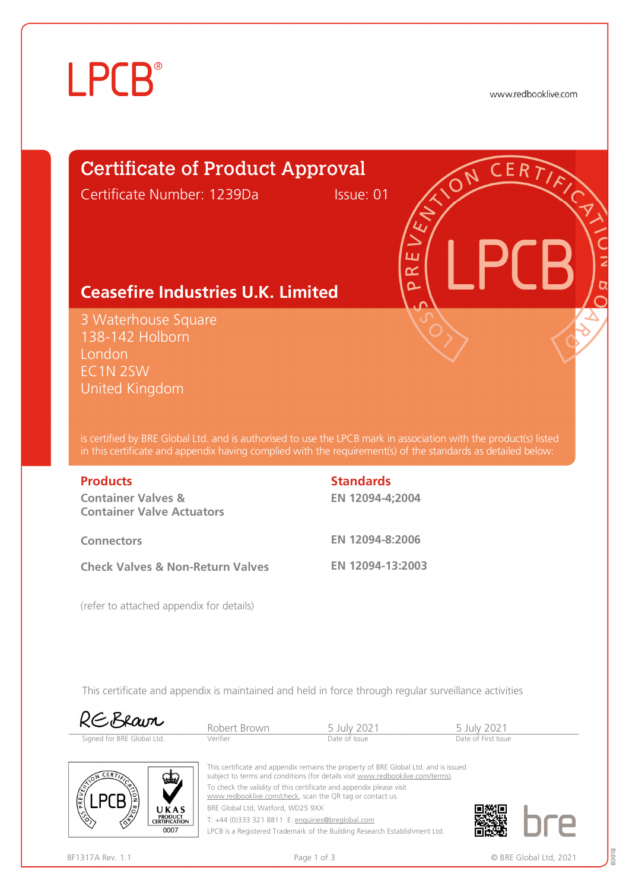# **LPCB**®

www.redbooklive.com

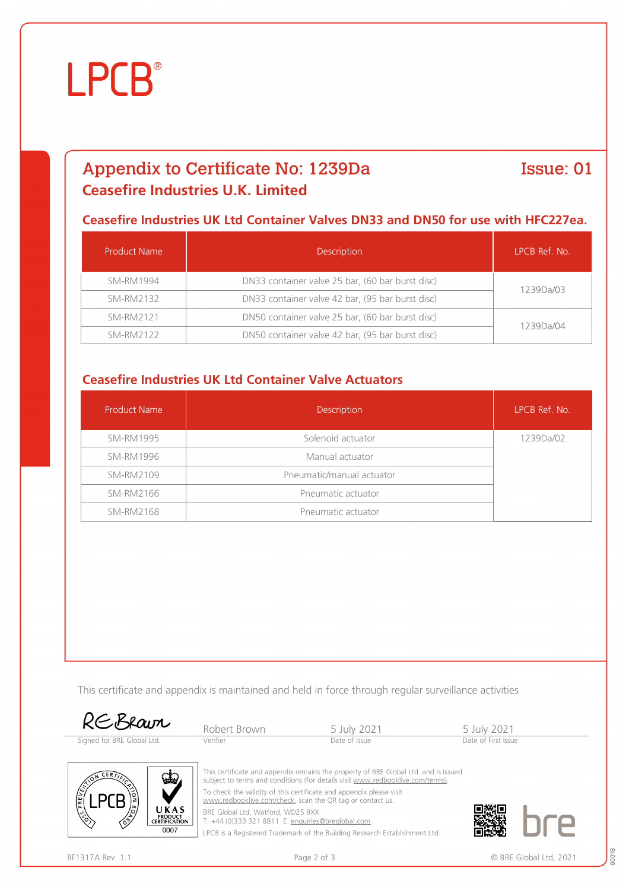# **LPCB**®

## Appendix to Certificate No: 1239Da **Ceasefire Industries U.K. Limited**

### Issue: 01

#### **Ceasefire Industries UK Ltd Container Valves DN33 and DN50 for use with HFC227ea.**

| Product Name     | <b>Description</b>                               | LPCB Ref. No. |  |
|------------------|--------------------------------------------------|---------------|--|
| SM-RM1994        | DN33 container valve 25 bar, (60 bar burst disc) | 1239Da/03     |  |
| <b>SM-RM2132</b> | DN33 container valve 42 bar, (95 bar burst disc) |               |  |
| SM-RM2121        | DN50 container valve 25 bar, (60 bar burst disc) | 1239Da/04     |  |
| <b>SM-RM2122</b> | DN50 container valve 42 bar, (95 bar burst disc) |               |  |

### **Ceasefire Industries UK Ltd Container Valve Actuators**

| <b>Product Name</b> | Description               | LPCB Ref. No. |
|---------------------|---------------------------|---------------|
| <b>SM-RM1995</b>    | Solenoid actuator         | 1239Da/02     |
| <b>SM-RM1996</b>    | Manual actuator           |               |
| <b>SM-RM2109</b>    | Pneumatic/manual actuator |               |
| SM-RM2166           | Pneumatic actuator        |               |
| <b>SM-RM2168</b>    | Pneumatic actuator        |               |

This certificate and appendix is maintained and held in force through regular surveillance activities



| RCORavr                    | Robert Brown | 5 July 2021   | 5 July 2021         |
|----------------------------|--------------|---------------|---------------------|
| Signed for BRE Global Ltd. | Verifier     | Date of Issue | Date of First Issue |



This certificate and appendix remains the property of BRE Global Ltd. and is issued subject to terms and conditions (for details visit [www.redbooklive.com/terms\).](http://www.redbooklive.com/terms)) To check the validity of this certificate and appendix please visit

[www.redbooklive.com/check,](http://www.redbooklive.com/check) scan the QR tag or contact us.

BRE Global Ltd, Watford, WD25 9XX T: +44 (0)333 321 8811 E: [enquiries@breglobal.com](mailto:enquiries@breglobal.com)

LPCB is a Registered Trademark of the Building Research Establishment Ltd.

80018